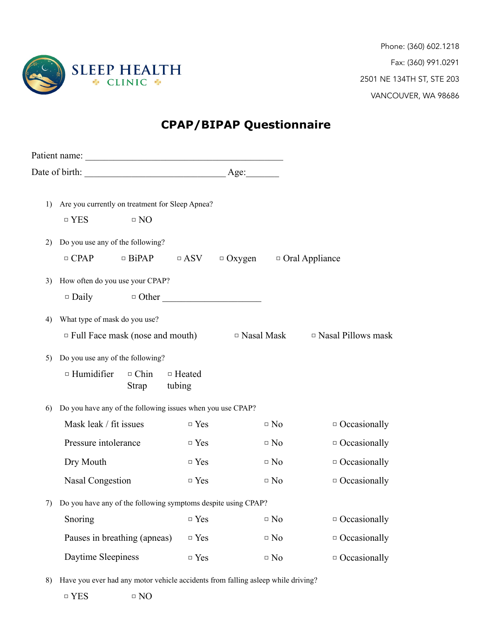

Phone: (360) 602.1218 Fax: (360) 991.0291 2501 NE 134TH ST, STE 203 VANCOUVER, WA 98686

## **CPAP/BIPAP Questionnaire**

|    | 1) Are you currently on treatment for Sleep Apnea?                      |              |               |                   |           |                           |  |  |  |  |
|----|-------------------------------------------------------------------------|--------------|---------------|-------------------|-----------|---------------------------|--|--|--|--|
|    | $\Box$ YES                                                              | $\Box$ NO    |               |                   |           |                           |  |  |  |  |
| 2) | Do you use any of the following?                                        |              |               |                   |           |                           |  |  |  |  |
|    | $\Box$ CPAP $\Box$ BiPAP $\Box$ ASV $\Box$ Oxygen $\Box$ Oral Appliance |              |               |                   |           |                           |  |  |  |  |
| 3) | How often do you use your CPAP?                                         |              |               |                   |           |                           |  |  |  |  |
|    | $\Box$ Daily                                                            |              | $\Box$ Other  |                   |           |                           |  |  |  |  |
| 4) | What type of mask do you use?                                           |              |               |                   |           |                           |  |  |  |  |
|    | $\Box$ Full Face mask (nose and mouth)                                  |              |               | $\Box$ Nasal Mask |           | $\Box$ Nasal Pillows mask |  |  |  |  |
| 5) | Do you use any of the following?                                        |              |               |                   |           |                           |  |  |  |  |
|    | $\Box$ Humidifier                                                       | $\Box$ Chin  | $\Box$ Heated |                   |           |                           |  |  |  |  |
|    |                                                                         | <b>Strap</b> | tubing        |                   |           |                           |  |  |  |  |
| 6) | Do you have any of the following issues when you use CPAP?              |              |               |                   |           |                           |  |  |  |  |
|    | Mask leak / fit issues                                                  |              | $\Box$ Yes    |                   | $\Box$ No | $\Box$ Occasionally       |  |  |  |  |
|    | Pressure intolerance                                                    |              | $\Box$ Yes    |                   | $\Box$ No | $\Box$ Occasionally       |  |  |  |  |
|    | Dry Mouth                                                               |              | $\Box$ Yes    |                   | $\Box$ No | $\Box$ Occasionally       |  |  |  |  |
|    | Nasal Congestion                                                        |              | $\Box$ Yes    |                   | $\Box$ No | $\Box$ Occasionally       |  |  |  |  |
|    | 7) Do you have any of the following symptoms despite using CPAP?        |              |               |                   |           |                           |  |  |  |  |
|    | Snoring                                                                 |              | $\Box$ Yes    |                   | $\Box$ No | $\Box$ Occasionally       |  |  |  |  |
|    | Pauses in breathing (apneas)                                            |              | $\Box$ Yes    |                   | $\Box$ No | $\Box$ Occasionally       |  |  |  |  |
|    | Daytime Sleepiness                                                      |              | $\Box$ Yes    |                   | $\Box$ No | $\Box$ Occasionally       |  |  |  |  |
|    |                                                                         |              |               |                   |           |                           |  |  |  |  |

8) Have you ever had any motor vehicle accidents from falling asleep while driving?

□ YES □ NO